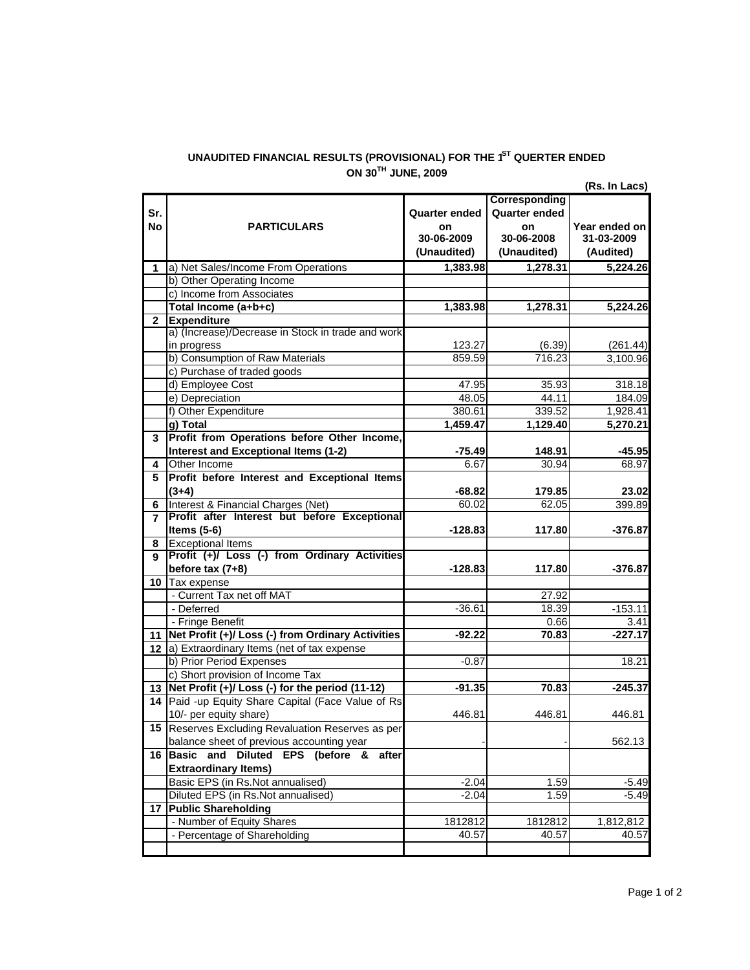## **UNAUDITED FINANCIAL RESULTS (PROVISIONAL) FOR THE 1 ST QUERTER ENDED ON 30TH JUNE, 2009**

**Sr. No Quarter ended on Corresponding Quarter ended on Year ended on 30-06-2009 (Unaudited) 30-06-2008 (Unaudited) 31-03-2009 (Audited) 1 1,383.98 1,278.31 5,224.26** a) Net Sales/Income From Operations **1,383.98 1,278.31 5,224.26 2 Expenditure** 123.27 (6.39) (261.44) 859.59 716.23 3,100.96 47.95 35.93 318.18 48.05 44.11 184.09 380.61 339.52 1,928.41<br>**1,459.47** 1,129.40 5,270.21 **1,459.47 1,129.40 5,270.21 3 -75.49** 148.91 -45.95<br>6.67 30.94 68.97 **4** 6.67 30.94 68.97 Other Income **5 -68.82 179.85 23.02 6** 60.02 62.05 399.89 Interest & Financial Charges (Net) **7 -128.83 117.80 -376.87 8** Exceptional Items **9 -128.83 117.80 -376.87 10** Tax expense 27.92 -36.61 18.39 -153.11 0.66 3.41 **11 -92.22 70.83 -227.17 Net Profit (+)/ Loss (-) from Ordinary Activities 12** a) Extraordinary Items (net of tax expense -0.87 18.21 **13 -91.35 70.83 -245.37 Net Profit (+)/ Loss (-) for the period (11-12) 14** Paid -up Equity Share Capital (Face Value of Rs 446.81 446.81 446.81 **15** Reserves Excluding Revaluation Reserves as per - - 562.13 **16 Basic and Diluted EPS (before & after** -2.04 1.59 -5.49 -2.04 1.59 -5.49 **17 Public Shareholding** 1812812 1812812 1,812,812 40.57 40.57 40.57 Basic EPS (in Rs.Not annualised) Diluted EPS (in Rs.Not annualised) - Number of Equity Shares - Percentage of Shareholding b) Prior Period Expenses c) Short provision of Income Tax 10/- per equity share) balance sheet of previous accounting year **Extraordinary Items)** - Current Tax net off MAT - Deferred - Fringe Benefit **Profit before Interest and Exceptional Items (3+4) Profit after Interest but before Exceptional Items (5-6) Profit (+)/ Loss (-) from Ordinary Activities before tax (7+8)** b) Consumption of Raw Materials c) Purchase of traded goods d) Employee Cost e) Depreciation **g) Total Profit from Operations before Other Income, Interest and Exceptional Items (1-2)** f) Other Expenditure **PARTICULARS**  b) Other Operating Income c) Income from Associates **Total Income (a+b+c)** a) (Increase)/Decrease in Stock in trade and work in progress

**(Rs. In Lacs)**